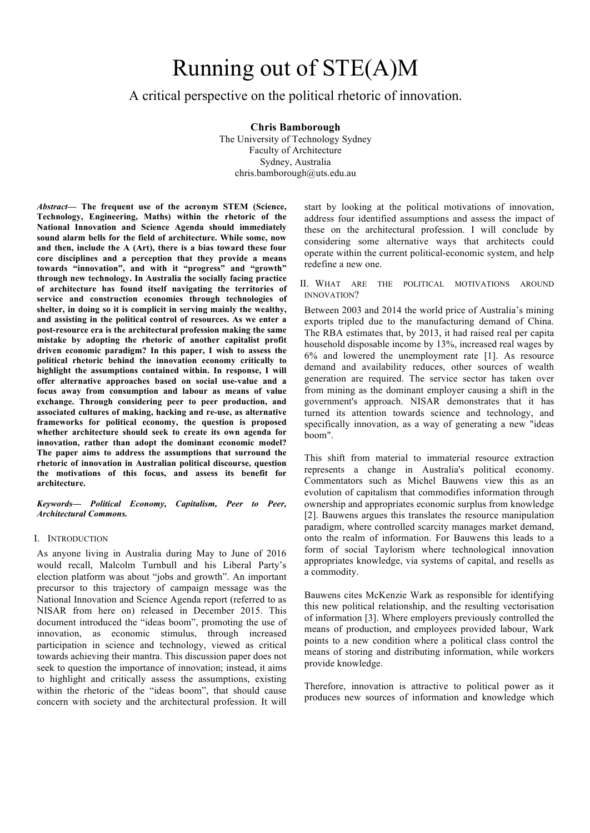# Running out of STE(A)M

## A critical perspective on the political rhetoric of innovation.

**Chris Bamborough**

The University of Technology Sydney Faculty of Architecture Sydney, Australia chris.bamborough@uts.edu.au

*Abstract***— The frequent use of the acronym STEM (Science, Technology, Engineering, Maths) within the rhetoric of the National Innovation and Science Agenda should immediately sound alarm bells for the field of architecture. While some, now and then, include the A (Art), there is a bias toward these four core disciplines and a perception that they provide a means towards "innovation", and with it "progress" and "growth" through new technology. In Australia the socially facing practice of architecture has found itself navigating the territories of service and construction economies through technologies of shelter, in doing so it is complicit in serving mainly the wealthy, and assisting in the political control of resources. As we enter a post-resource era is the architectural profession making the same mistake by adopting the rhetoric of another capitalist profit driven economic paradigm? In this paper, I wish to assess the political rhetoric behind the innovation economy critically to highlight the assumptions contained within. In response, I will offer alternative approaches based on social use-value and a focus away from consumption and labour as means of value exchange. Through considering peer to peer production, and associated cultures of making, hacking and re-use, as alternative frameworks for political economy, the question is proposed whether architecture should seek to create its own agenda for innovation, rather than adopt the dominant economic model? The paper aims to address the assumptions that surround the rhetoric of innovation in Australian political discourse, question the motivations of this focus, and assess its benefit for architecture.**

*Keywords— Political Economy, Capitalism, Peer to Peer, Architectural Commons.*

#### I. INTRODUCTION

As anyone living in Australia during May to June of 2016 would recall, Malcolm Turnbull and his Liberal Party's election platform was about "jobs and growth". An important precursor to this trajectory of campaign message was the National Innovation and Science Agenda report (referred to as NISAR from here on) released in December 2015. This document introduced the "ideas boom", promoting the use of innovation, as economic stimulus, through increased participation in science and technology, viewed as critical towards achieving their mantra. This discussion paper does not seek to question the importance of innovation; instead, it aims to highlight and critically assess the assumptions, existing within the rhetoric of the "ideas boom", that should cause concern with society and the architectural profession. It will

start by looking at the political motivations of innovation, address four identified assumptions and assess the impact of these on the architectural profession. I will conclude by considering some alternative ways that architects could operate within the current political-economic system, and help redefine a new one.

II. WHAT ARE THE POLITICAL MOTIVATIONS AROUND INNOVATION?

Between 2003 and 2014 the world price of Australia's mining exports tripled due to the manufacturing demand of China. The RBA estimates that, by 2013, it had raised real per capita household disposable income by 13%, increased real wages by 6% and lowered the unemployment rate [1]. As resource demand and availability reduces, other sources of wealth generation are required. The service sector has taken over from mining as the dominant employer causing a shift in the government's approach. NISAR demonstrates that it has turned its attention towards science and technology, and specifically innovation, as a way of generating a new "ideas boom".

This shift from material to immaterial resource extraction represents a change in Australia's political economy. Commentators such as Michel Bauwens view this as an evolution of capitalism that commodifies information through ownership and appropriates economic surplus from knowledge [2]. Bauwens argues this translates the resource manipulation paradigm, where controlled scarcity manages market demand, onto the realm of information. For Bauwens this leads to a form of social Taylorism where technological innovation appropriates knowledge, via systems of capital, and resells as a commodity.

Bauwens cites McKenzie Wark as responsible for identifying this new political relationship, and the resulting vectorisation of information [3]. Where employers previously controlled the means of production, and employees provided labour, Wark points to a new condition where a political class control the means of storing and distributing information, while workers provide knowledge.

Therefore, innovation is attractive to political power as it produces new sources of information and knowledge which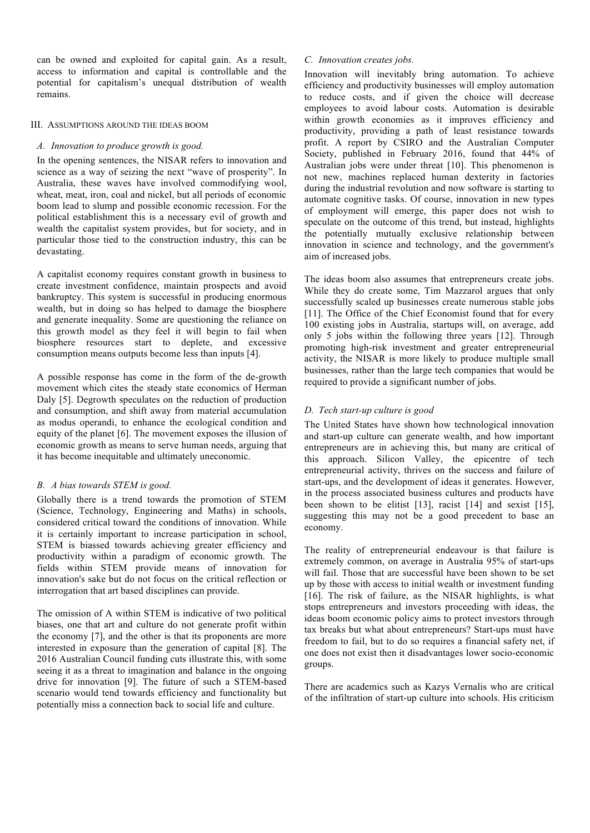can be owned and exploited for capital gain. As a result, access to information and capital is controllable and the potential for capitalism's unequal distribution of wealth remains.

### III. ASSUMPTIONS AROUND THE IDEAS BOOM

## *A. Innovation to produce growth is good.*

In the opening sentences, the NISAR refers to innovation and science as a way of seizing the next "wave of prosperity". In Australia, these waves have involved commodifying wool, wheat, meat, iron, coal and nickel, but all periods of economic boom lead to slump and possible economic recession. For the political establishment this is a necessary evil of growth and wealth the capitalist system provides, but for society, and in particular those tied to the construction industry, this can be devastating.

A capitalist economy requires constant growth in business to create investment confidence, maintain prospects and avoid bankruptcy. This system is successful in producing enormous wealth, but in doing so has helped to damage the biosphere and generate inequality. Some are questioning the reliance on this growth model as they feel it will begin to fail when biosphere resources start to deplete, and excessive consumption means outputs become less than inputs [4].

A possible response has come in the form of the de-growth movement which cites the steady state economics of Herman Daly [5]. Degrowth speculates on the reduction of production and consumption, and shift away from material accumulation as modus operandi, to enhance the ecological condition and equity of the planet [6]. The movement exposes the illusion of economic growth as means to serve human needs, arguing that it has become inequitable and ultimately uneconomic.

## *B. A bias towards STEM is good.*

Globally there is a trend towards the promotion of STEM (Science, Technology, Engineering and Maths) in schools, considered critical toward the conditions of innovation. While it is certainly important to increase participation in school, STEM is biassed towards achieving greater efficiency and productivity within a paradigm of economic growth. The fields within STEM provide means of innovation for innovation's sake but do not focus on the critical reflection or interrogation that art based disciplines can provide.

The omission of A within STEM is indicative of two political biases, one that art and culture do not generate profit within the economy [7], and the other is that its proponents are more interested in exposure than the generation of capital [8]. The 2016 Australian Council funding cuts illustrate this, with some seeing it as a threat to imagination and balance in the ongoing drive for innovation [9]. The future of such a STEM-based scenario would tend towards efficiency and functionality but potentially miss a connection back to social life and culture.

## *C. Innovation creates jobs.*

Innovation will inevitably bring automation. To achieve efficiency and productivity businesses will employ automation to reduce costs, and if given the choice will decrease employees to avoid labour costs. Automation is desirable within growth economies as it improves efficiency and productivity, providing a path of least resistance towards profit. A report by CSIRO and the Australian Computer Society, published in February 2016, found that 44% of Australian jobs were under threat [10]. This phenomenon is not new, machines replaced human dexterity in factories during the industrial revolution and now software is starting to automate cognitive tasks. Of course, innovation in new types of employment will emerge, this paper does not wish to speculate on the outcome of this trend, but instead, highlights the potentially mutually exclusive relationship between innovation in science and technology, and the government's aim of increased jobs.

The ideas boom also assumes that entrepreneurs create jobs. While they do create some, Tim Mazzarol argues that only successfully scaled up businesses create numerous stable jobs [11]. The Office of the Chief Economist found that for every 100 existing jobs in Australia, startups will, on average, add only 5 jobs within the following three years [12]. Through promoting high-risk investment and greater entrepreneurial activity, the NISAR is more likely to produce multiple small businesses, rather than the large tech companies that would be required to provide a significant number of jobs.

## *D. Tech start-up culture is good*

The United States have shown how technological innovation and start-up culture can generate wealth, and how important entrepreneurs are in achieving this, but many are critical of this approach. Silicon Valley, the epicentre of tech entrepreneurial activity, thrives on the success and failure of start-ups, and the development of ideas it generates. However, in the process associated business cultures and products have been shown to be elitist [13], racist [14] and sexist [15], suggesting this may not be a good precedent to base an economy.

The reality of entrepreneurial endeavour is that failure is extremely common, on average in Australia 95% of start-ups will fail. Those that are successful have been shown to be set up by those with access to initial wealth or investment funding [16]. The risk of failure, as the NISAR highlights, is what stops entrepreneurs and investors proceeding with ideas, the ideas boom economic policy aims to protect investors through tax breaks but what about entrepreneurs? Start-ups must have freedom to fail, but to do so requires a financial safety net, if one does not exist then it disadvantages lower socio-economic groups.

There are academics such as Kazys Vernalis who are critical of the infiltration of start-up culture into schools. His criticism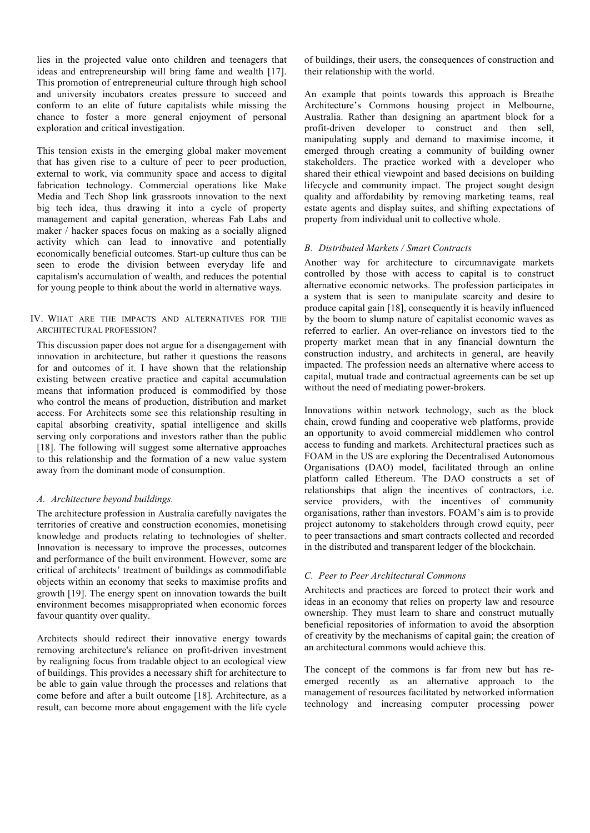lies in the projected value onto children and teenagers that ideas and entrepreneurship will bring fame and wealth [17]. This promotion of entrepreneurial culture through high school and university incubators creates pressure to succeed and conform to an elite of future capitalists while missing the chance to foster a more general enjoyment of personal exploration and critical investigation.

This tension exists in the emerging global maker movement that has given rise to a culture of peer to peer production, external to work, via community space and access to digital fabrication technology. Commercial operations like Make Media and Tech Shop link grassroots innovation to the next big tech idea, thus drawing it into a cycle of property management and capital generation, whereas Fab Labs and maker / hacker spaces focus on making as a socially aligned activity which can lead to innovative and potentially economically beneficial outcomes. Start-up culture thus can be seen to erode the division between everyday life and capitalism's accumulation of wealth, and reduces the potential for young people to think about the world in alternative ways.

#### IV. WHAT ARE THE IMPACTS AND ALTERNATIVES FOR THE ARCHITECTURAL PROFESSION?

This discussion paper does not argue for a disengagement with innovation in architecture, but rather it questions the reasons for and outcomes of it. I have shown that the relationship existing between creative practice and capital accumulation means that information produced is commodified by those who control the means of production, distribution and market access. For Architects some see this relationship resulting in capital absorbing creativity, spatial intelligence and skills serving only corporations and investors rather than the public [18]. The following will suggest some alternative approaches to this relationship and the formation of a new value system away from the dominant mode of consumption.

## *A. Architecture beyond buildings.*

The architecture profession in Australia carefully navigates the territories of creative and construction economies, monetising knowledge and products relating to technologies of shelter. Innovation is necessary to improve the processes, outcomes and performance of the built environment. However, some are critical of architects' treatment of buildings as commodifiable objects within an economy that seeks to maximise profits and growth [19]. The energy spent on innovation towards the built environment becomes misappropriated when economic forces favour quantity over quality.

Architects should redirect their innovative energy towards removing architecture's reliance on profit-driven investment by realigning focus from tradable object to an ecological view of buildings. This provides a necessary shift for architecture to be able to gain value through the processes and relations that come before and after a built outcome [18]. Architecture, as a result, can become more about engagement with the life cycle

of buildings, their users, the consequences of construction and their relationship with the world.

An example that points towards this approach is Breathe Architecture's Commons housing project in Melbourne, Australia. Rather than designing an apartment block for a profit-driven developer to construct and then sell, manipulating supply and demand to maximise income, it emerged through creating a community of building owner stakeholders. The practice worked with a developer who shared their ethical viewpoint and based decisions on building lifecycle and community impact. The project sought design quality and affordability by removing marketing teams, real estate agents and display suites, and shifting expectations of property from individual unit to collective whole.

#### *B. Distributed Markets / Smart Contracts*

Another way for architecture to circumnavigate markets controlled by those with access to capital is to construct alternative economic networks. The profession participates in a system that is seen to manipulate scarcity and desire to produce capital gain [18], consequently it is heavily influenced by the boom to slump nature of capitalist economic waves as referred to earlier. An over-reliance on investors tied to the property market mean that in any financial downturn the construction industry, and architects in general, are heavily impacted. The profession needs an alternative where access to capital, mutual trade and contractual agreements can be set up without the need of mediating power-brokers.

Innovations within network technology, such as the block chain, crowd funding and cooperative web platforms, provide an opportunity to avoid commercial middlemen who control access to funding and markets. Architectural practices such as FOAM in the US are exploring the Decentralised Autonomous Organisations (DAO) model, facilitated through an online platform called Ethereum. The DAO constructs a set of relationships that align the incentives of contractors, i.e. service providers, with the incentives of community organisations, rather than investors. FOAM's aim is to provide project autonomy to stakeholders through crowd equity, peer to peer transactions and smart contracts collected and recorded in the distributed and transparent ledger of the blockchain.

#### *C. Peer to Peer Architectural Commons*

Architects and practices are forced to protect their work and ideas in an economy that relies on property law and resource ownership. They must learn to share and construct mutually beneficial repositories of information to avoid the absorption of creativity by the mechanisms of capital gain; the creation of an architectural commons would achieve this.

The concept of the commons is far from new but has reemerged recently as an alternative approach to the management of resources facilitated by networked information technology and increasing computer processing power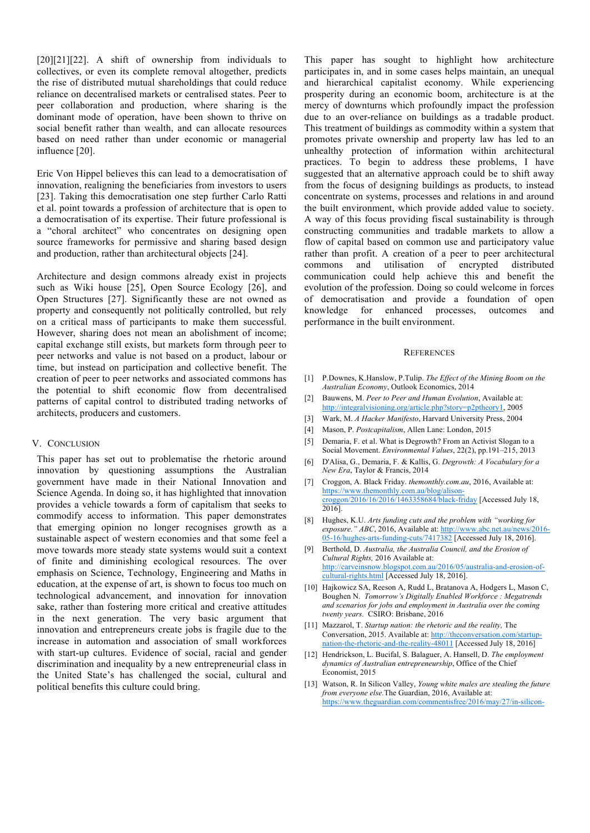[20][21][22]. A shift of ownership from individuals to collectives, or even its complete removal altogether, predicts the rise of distributed mutual shareholdings that could reduce reliance on decentralised markets or centralised states. Peer to peer collaboration and production, where sharing is the dominant mode of operation, have been shown to thrive on social benefit rather than wealth, and can allocate resources based on need rather than under economic or managerial influence [20].

Eric Von Hippel believes this can lead to a democratisation of innovation, realigning the beneficiaries from investors to users [23]. Taking this democratisation one step further Carlo Ratti et al. point towards a profession of architecture that is open to a democratisation of its expertise. Their future professional is a "choral architect" who concentrates on designing open source frameworks for permissive and sharing based design and production, rather than architectural objects [24].

Architecture and design commons already exist in projects such as Wiki house [25], Open Source Ecology [26], and Open Structures [27]. Significantly these are not owned as property and consequently not politically controlled, but rely on a critical mass of participants to make them successful. However, sharing does not mean an abolishment of income; capital exchange still exists, but markets form through peer to peer networks and value is not based on a product, labour or time, but instead on participation and collective benefit. The creation of peer to peer networks and associated commons has the potential to shift economic flow from decentralised patterns of capital control to distributed trading networks of architects, producers and customers.

#### V. CONCLUSION

This paper has set out to problematise the rhetoric around innovation by questioning assumptions the Australian government have made in their National Innovation and Science Agenda. In doing so, it has highlighted that innovation provides a vehicle towards a form of capitalism that seeks to commodify access to information. This paper demonstrates that emerging opinion no longer recognises growth as a sustainable aspect of western economies and that some feel a move towards more steady state systems would suit a context of finite and diminishing ecological resources. The over emphasis on Science, Technology, Engineering and Maths in education, at the expense of art, is shown to focus too much on technological advancement, and innovation for innovation sake, rather than fostering more critical and creative attitudes in the next generation. The very basic argument that innovation and entrepreneurs create jobs is fragile due to the increase in automation and association of small workforces with start-up cultures. Evidence of social, racial and gender discrimination and inequality by a new entrepreneurial class in the United State's has challenged the social, cultural and political benefits this culture could bring.

This paper has sought to highlight how architecture participates in, and in some cases helps maintain, an unequal and hierarchical capitalist economy. While experiencing prosperity during an economic boom, architecture is at the mercy of downturns which profoundly impact the profession due to an over-reliance on buildings as a tradable product. This treatment of buildings as commodity within a system that promotes private ownership and property law has led to an unhealthy protection of information within architectural practices. To begin to address these problems, I have suggested that an alternative approach could be to shift away from the focus of designing buildings as products, to instead concentrate on systems, processes and relations in and around the built environment, which provide added value to society. A way of this focus providing fiscal sustainability is through constructing communities and tradable markets to allow a flow of capital based on common use and participatory value rather than profit. A creation of a peer to peer architectural commons and utilisation of encrypted distributed communication could help achieve this and benefit the evolution of the profession. Doing so could welcome in forces of democratisation and provide a foundation of open knowledge for enhanced processes, outcomes and performance in the built environment.

#### **REFERENCES**

- [1] P.Downes, K.Hanslow, P.Tulip. *The Effect of the Mining Boom on the Australian Economy*, Outlook Economics, 2014
- [2] Bauwens, M. *Peer to Peer and Human Evolution*, Available at: http://integralvisioning.org/article.php?story=p2ptheory1, 2005
- [3] Wark, M. *A Hacker Manifesto*, Harvard University Press, 2004
- [4] Mason, P. *Postcapitalism*, Allen Lane: London, 2015
- [5] Demaria, F. et al. What is Degrowth? From an Activist Slogan to a Social Movement. *Environmental Values*, 22(2), pp.191–215, 2013
- [6] D'Alisa, G., Demaria, F. & Kallis, G. *Degrowth: A Vocabulary for a New Era*, Taylor & Francis, 2014
- [7] Croggon, A. Black Friday. *themonthly.com.au*, 2016, Available at: https://www.themonthly.com.au/blog/alisoncroggon/2016/16/2016/1463358684/black-friday [Accessed July 18, 2016].
- [8] Hughes, K.U. *Arts funding cuts and the problem with "working for exposure." ABC*, 2016, Available at: http://www.abc.net.au/news/2016- 05-16/hughes-arts-funding-cuts/7417382 [Accessed July 18, 2016].
- [9] Berthold, D. *Australia, the Australia Council, and the Erosion of Cultural Rights,* 2016 Available at: http://carveinsnow.blogspot.com.au/2016/05/australia-and-erosion-ofcultural-rights.html [Accessed July 18, 2016].
- [10] Hajkowicz SA, Reeson A, Rudd L, Bratanova A, Hodgers L, Mason C, Boughen N. *Tomorrow's Digitally Enabled Workforce : Megatrends and scenarios for jobs and employment in Australia over the coming twenty years.* CSIRO: Brisbane, 2016
- [11] Mazzarol, T. *Startup nation: the rhetoric and the reality,* The Conversation, 2015. Available at: http://theconversation.com/startupnation-the-rhetoric-and-the-reality-48011 [Accessed July 18, 2016]
- [12] Hendrickson, L. Bucifal, S. Balaguer, A. Hansell, D. *The employment dynamics of Australian entrepreneurship*, Office of the Chief Economist, 2015
- [13] Watson, R. In Silicon Valley, *Young white males are stealing the future from everyone else.*The Guardian, 2016, Available at: https://www.theguardian.com/commentisfree/2016/may/27/in-silicon-